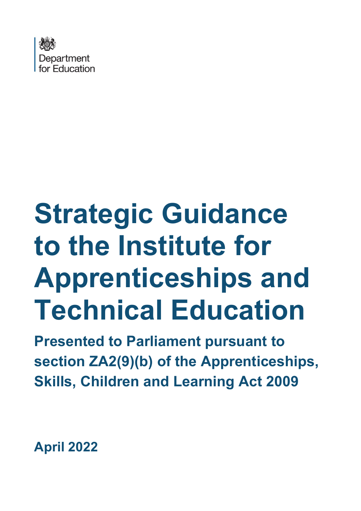

# **Strategic Guidance to the Institute for Apprenticeships and Technical Education**

**Presented to Parliament pursuant to section ZA2(9)(b) of the Apprenticeships, Skills, Children and Learning Act 2009**

**April 2022**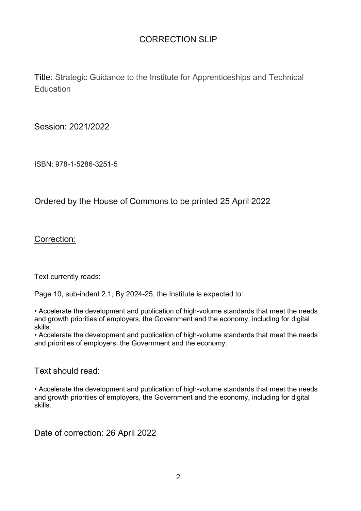#### CORRECTION SLIP

Title: Strategic Guidance to the Institute for Apprenticeships and Technical **Education** 

Session: 2021/2022

ISBN: 978-1-5286-3251-5

Ordered by the House of Commons to be printed 25 April 2022

Correction:

Text currently reads:

Page 10, sub-indent 2.1, By 2024-25, the Institute is expected to:

• Accelerate the development and publication of high-volume standards that meet the needs and growth priorities of employers, the Government and the economy, including for digital skills.

• Accelerate the development and publication of high-volume standards that meet the needs and priorities of employers, the Government and the economy.

Text should read:

• Accelerate the development and publication of high-volume standards that meet the needs and growth priorities of employers, the Government and the economy, including for digital skills.

Date of correction: 26 April 2022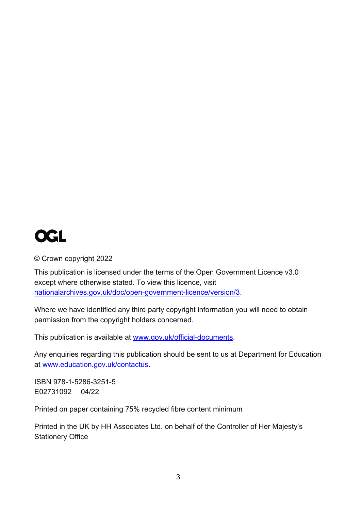## **OGL**

© Crown copyright 2022

This publication is licensed under the terms of the Open Government Licence v3.0 except where otherwise stated. To view this licence, visit [nationalarchives.gov.uk/doc/open-government-licence/version/3.](http://http/www.nationalarchives.gov.uk/doc/open-government-licence/version/3www.nationalarchives.gov.uk/doc/open-government-licence/version/3)

Where we have identified any third party copyright information you will need to obtain permission from the copyright holders concerned.

This publication is available at [www.gov.uk/official-documents.](https://educationgovuk-my.sharepoint.com/personal/vikki_howe_education_gov_uk/Documents/Downloads/www.gov.uk/official-documents)

Any enquiries regarding this publication should be sent to us at Department for Education at [www.education.gov.uk/contactus.](https://educationgovuk-my.sharepoint.com/personal/vikki_howe_education_gov_uk/Documents/Downloads/www.education.gov.uk/contactus)

ISBN 978-1-5286-3251-5 E02731092 04/22

Printed on paper containing 75% recycled fibre content minimum

Printed in the UK by HH Associates Ltd. on behalf of the Controller of Her Majesty's Stationery Office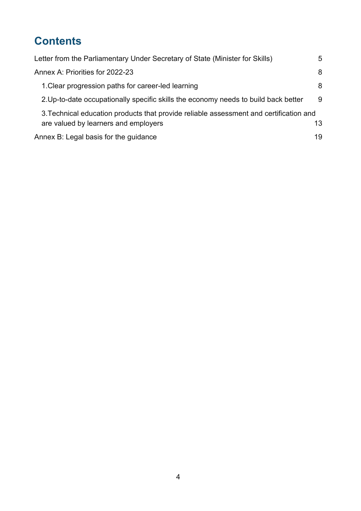## **Contents**

| Letter from the Parliamentary Under Secretary of State (Minister for Skills)                                                   | 5  |
|--------------------------------------------------------------------------------------------------------------------------------|----|
| Annex A: Priorities for 2022-23                                                                                                | 8  |
| 1. Clear progression paths for career-led learning                                                                             | 8  |
| 2. Up-to-date occupationally specific skills the economy needs to build back better                                            | 9  |
| 3. Technical education products that provide reliable assessment and certification and<br>are valued by learners and employers | 13 |
| Annex B: Legal basis for the guidance                                                                                          | 19 |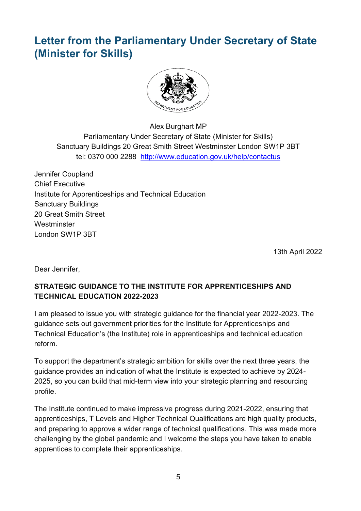## <span id="page-4-0"></span>**Letter from the Parliamentary Under Secretary of State (Minister for Skills)**



Alex Burghart MP Parliamentary Under Secretary of State (Minister for Skills) Sanctuary Buildings 20 Great Smith Street Westminster London SW1P 3BT tel: 0370 000 2288 <http://www.education.gov.uk/help/contactus>

Jennifer Coupland Chief Executive Institute for Apprenticeships and Technical Education Sanctuary Buildings 20 Great Smith Street **Westminster** London SW1P 3BT

13th April 2022

Dear Jennifer,

#### **STRATEGIC GUIDANCE TO THE INSTITUTE FOR APPRENTICESHIPS AND TECHNICAL EDUCATION 2022-2023**

I am pleased to issue you with strategic guidance for the financial year 2022-2023. The guidance sets out government priorities for the Institute for Apprenticeships and Technical Education's (the Institute) role in apprenticeships and technical education reform.

To support the department's strategic ambition for skills over the next three years, the guidance provides an indication of what the Institute is expected to achieve by 2024- 2025, so you can build that mid-term view into your strategic planning and resourcing profile.

The Institute continued to make impressive progress during 2021-2022, ensuring that apprenticeships, T Levels and Higher Technical Qualifications are high quality products, and preparing to approve a wider range of technical qualifications. This was made more challenging by the global pandemic and I welcome the steps you have taken to enable apprentices to complete their apprenticeships.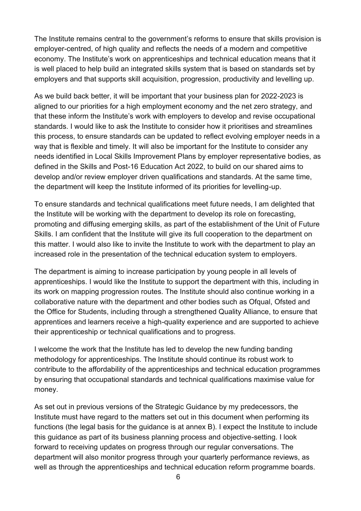The Institute remains central to the government's reforms to ensure that skills provision is employer-centred, of high quality and reflects the needs of a modern and competitive economy. The Institute's work on apprenticeships and technical education means that it is well placed to help build an integrated skills system that is based on standards set by employers and that supports skill acquisition, progression, productivity and levelling up.

As we build back better, it will be important that your business plan for 2022-2023 is aligned to our priorities for a high employment economy and the net zero strategy, and that these inform the Institute's work with employers to develop and revise occupational standards. I would like to ask the Institute to consider how it prioritises and streamlines this process, to ensure standards can be updated to reflect evolving employer needs in a way that is flexible and timely. It will also be important for the Institute to consider any needs identified in Local Skills Improvement Plans by employer representative bodies, as defined in the Skills and Post-16 Education Act 2022, to build on our shared aims to develop and/or review employer driven qualifications and standards. At the same time, the department will keep the Institute informed of its priorities for levelling-up.

To ensure standards and technical qualifications meet future needs, I am delighted that the Institute will be working with the department to develop its role on forecasting, promoting and diffusing emerging skills, as part of the establishment of the Unit of Future Skills. I am confident that the Institute will give its full cooperation to the department on this matter. I would also like to invite the Institute to work with the department to play an increased role in the presentation of the technical education system to employers.

The department is aiming to increase participation by young people in all levels of apprenticeships. I would like the Institute to support the department with this, including in its work on mapping progression routes. The Institute should also continue working in a collaborative nature with the department and other bodies such as Ofqual, Ofsted and the Office for Students, including through a strengthened Quality Alliance, to ensure that apprentices and learners receive a high-quality experience and are supported to achieve their apprenticeship or technical qualifications and to progress.

I welcome the work that the Institute has led to develop the new funding banding methodology for apprenticeships. The Institute should continue its robust work to contribute to the affordability of the apprenticeships and technical education programmes by ensuring that occupational standards and technical qualifications maximise value for money.

As set out in previous versions of the Strategic Guidance by my predecessors, the Institute must have regard to the matters set out in this document when performing its functions (the legal basis for the guidance is at annex B). I expect the Institute to include this guidance as part of its business planning process and objective-setting. I look forward to receiving updates on progress through our regular conversations. The department will also monitor progress through your quarterly performance reviews, as well as through the apprenticeships and technical education reform programme boards.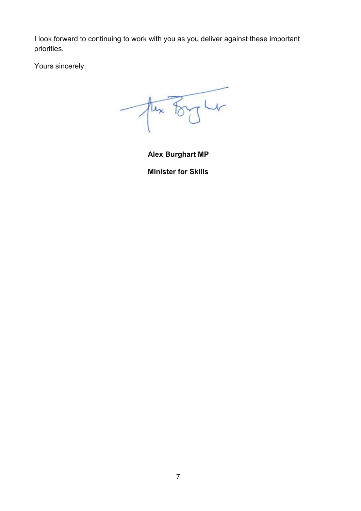I look forward to continuing to work with you as you deliver against these important priorities.

Yours sincerely,

 $\sqrt{4}$  $\frac{1}{\sqrt{\frac{1}{2}}}$ 

**Alex Burghart MP Minister for Skills**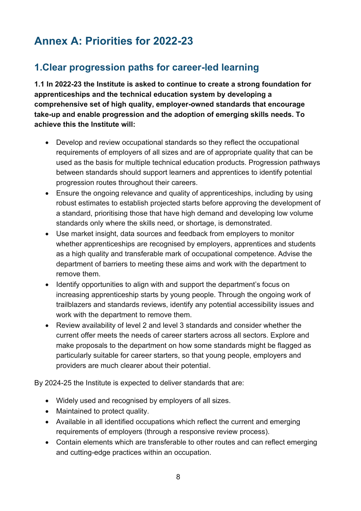## <span id="page-7-0"></span>**Annex A: Priorities for 2022-23**

### <span id="page-7-1"></span>**1.Clear progression paths for career-led learning**

**1.1 In 2022-23 the Institute is asked to continue to create a strong foundation for apprenticeships and the technical education system by developing a comprehensive set of high quality, employer-owned standards that encourage take-up and enable progression and the adoption of emerging skills needs. To achieve this the Institute will:**

- Develop and review occupational standards so they reflect the occupational requirements of employers of all sizes and are of appropriate quality that can be used as the basis for multiple technical education products. Progression pathways between standards should support learners and apprentices to identify potential progression routes throughout their careers.
- Ensure the ongoing relevance and quality of apprenticeships, including by using robust estimates to establish projected starts before approving the development of a standard, prioritising those that have high demand and developing low volume standards only where the skills need, or shortage, is demonstrated.
- Use market insight, data sources and feedback from employers to monitor whether apprenticeships are recognised by employers, apprentices and students as a high quality and transferable mark of occupational competence. Advise the department of barriers to meeting these aims and work with the department to remove them.
- Identify opportunities to align with and support the department's focus on increasing apprenticeship starts by young people. Through the ongoing work of trailblazers and standards reviews, identify any potential accessibility issues and work with the department to remove them.
- Review availability of level 2 and level 3 standards and consider whether the current offer meets the needs of career starters across all sectors. Explore and make proposals to the department on how some standards might be flagged as particularly suitable for career starters, so that young people, employers and providers are much clearer about their potential.

By 2024-25 the Institute is expected to deliver standards that are:

- Widely used and recognised by employers of all sizes.
- Maintained to protect quality.
- Available in all identified occupations which reflect the current and emerging requirements of employers (through a responsive review process).
- Contain elements which are transferable to other routes and can reflect emerging and cutting-edge practices within an occupation.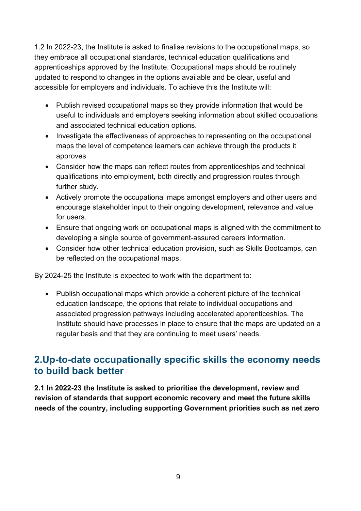1.2 In 2022-23, the Institute is asked to finalise revisions to the occupational maps, so they embrace all occupational standards, technical education qualifications and apprenticeships approved by the Institute. Occupational maps should be routinely updated to respond to changes in the options available and be clear, useful and accessible for employers and individuals. To achieve this the Institute will:

- Publish revised occupational maps so they provide information that would be useful to individuals and employers seeking information about skilled occupations and associated technical education options.
- Investigate the effectiveness of approaches to representing on the occupational maps the level of competence learners can achieve through the products it approves
- Consider how the maps can reflect routes from apprenticeships and technical qualifications into employment, both directly and progression routes through further study.
- Actively promote the occupational maps amongst employers and other users and encourage stakeholder input to their ongoing development, relevance and value for users.
- Ensure that ongoing work on occupational maps is aligned with the commitment to developing a single source of government-assured careers information.
- Consider how other technical education provision, such as Skills Bootcamps, can be reflected on the occupational maps.

By 2024-25 the Institute is expected to work with the department to:

• Publish occupational maps which provide a coherent picture of the technical education landscape, the options that relate to individual occupations and associated progression pathways including accelerated apprenticeships. The Institute should have processes in place to ensure that the maps are updated on a regular basis and that they are continuing to meet users' needs.

#### <span id="page-8-0"></span>**2.Up-to-date occupationally specific skills the economy needs to build back better**

**2.1 In 2022-23 the Institute is asked to prioritise the development, review and revision of standards that support economic recovery and meet the future skills needs of the country, including supporting Government priorities such as net zero**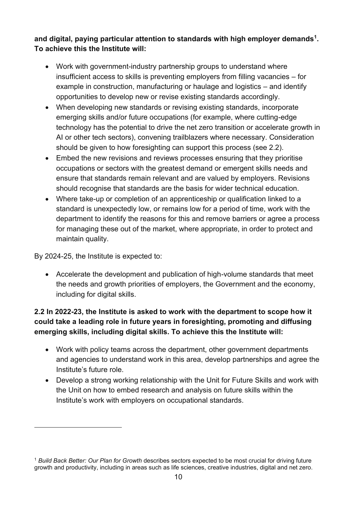**and digital, paying particular attention to standards with high employer demands<sup>1</sup> . To achieve this the Institute will:**

- Work with government-industry partnership groups to understand where insufficient access to skills is preventing employers from filling vacancies – for example in construction, manufacturing or haulage and logistics – and identify opportunities to develop new or revise existing standards accordingly.
- When developing new standards or revising existing standards, incorporate emerging skills and/or future occupations (for example, where cutting-edge technology has the potential to drive the net zero transition or accelerate growth in AI or other tech sectors), convening trailblazers where necessary. Consideration should be given to how foresighting can support this process (see 2.2).
- Embed the new revisions and reviews processes ensuring that they prioritise occupations or sectors with the greatest demand or emergent skills needs and ensure that standards remain relevant and are valued by employers. Revisions should recognise that standards are the basis for wider technical education.
- Where take-up or completion of an apprenticeship or qualification linked to a standard is unexpectedly low, or remains low for a period of time, work with the department to identify the reasons for this and remove barriers or agree a process for managing these out of the market, where appropriate, in order to protect and maintain quality.

By 2024-25, the Institute is expected to:

• Accelerate the development and publication of high-volume standards that meet the needs and growth priorities of employers, the Government and the economy, including for digital skills.

#### **2.2 In 2022-23, the Institute is asked to work with the department to scope how it could take a leading role in future years in foresighting, promoting and diffusing emerging skills, including digital skills. To achieve this the Institute will:**

- Work with policy teams across the department, other government departments and agencies to understand work in this area, develop partnerships and agree the Institute's future role.
- Develop a strong working relationship with the Unit for Future Skills and work with the Unit on how to embed research and analysis on future skills within the Institute's work with employers on occupational standards.

<sup>1</sup> *Build Back Better: Our Plan for Growth* describes sectors expected to be most crucial for driving future growth and productivity, including in areas such as life sciences, creative industries, digital and net zero.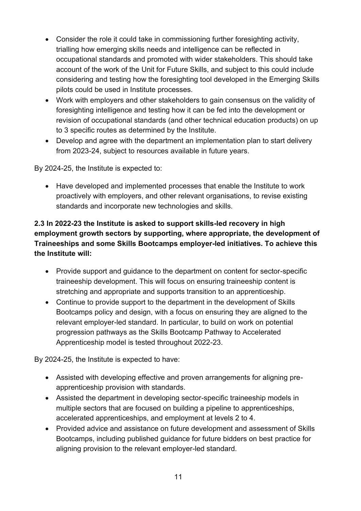- Consider the role it could take in commissioning further foresighting activity, trialling how emerging skills needs and intelligence can be reflected in occupational standards and promoted with wider stakeholders. This should take account of the work of the Unit for Future Skills, and subject to this could include considering and testing how the foresighting tool developed in the Emerging Skills pilots could be used in Institute processes.
- Work with employers and other stakeholders to gain consensus on the validity of foresighting intelligence and testing how it can be fed into the development or revision of occupational standards (and other technical education products) on up to 3 specific routes as determined by the Institute.
- Develop and agree with the department an implementation plan to start delivery from 2023-24, subject to resources available in future years.

By 2024-25, the Institute is expected to:

• Have developed and implemented processes that enable the Institute to work proactively with employers, and other relevant organisations, to revise existing standards and incorporate new technologies and skills.

#### **2.3 In 2022-23 the Institute is asked to support skills-led recovery in high employment growth sectors by supporting, where appropriate, the development of Traineeships and some Skills Bootcamps employer-led initiatives. To achieve this the Institute will:**

- Provide support and guidance to the department on content for sector-specific traineeship development. This will focus on ensuring traineeship content is stretching and appropriate and supports transition to an apprenticeship.
- Continue to provide support to the department in the development of Skills Bootcamps policy and design, with a focus on ensuring they are aligned to the relevant employer-led standard. In particular, to build on work on potential progression pathways as the Skills Bootcamp Pathway to Accelerated Apprenticeship model is tested throughout 2022-23.

By 2024-25, the Institute is expected to have:

- Assisted with developing effective and proven arrangements for aligning preapprenticeship provision with standards.
- Assisted the department in developing sector-specific traineeship models in multiple sectors that are focused on building a pipeline to apprenticeships, accelerated apprenticeships, and employment at levels 2 to 4.
- Provided advice and assistance on future development and assessment of Skills Bootcamps, including published guidance for future bidders on best practice for aligning provision to the relevant employer-led standard.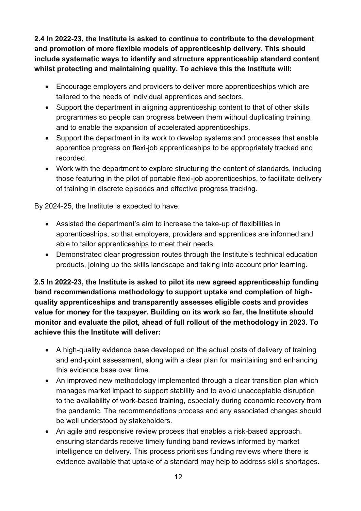**2.4 In 2022-23, the Institute is asked to continue to contribute to the development and promotion of more flexible models of apprenticeship delivery. This should include systematic ways to identify and structure apprenticeship standard content whilst protecting and maintaining quality. To achieve this the Institute will:**

- Encourage employers and providers to deliver more apprenticeships which are tailored to the needs of individual apprentices and sectors.
- Support the department in aligning apprenticeship content to that of other skills programmes so people can progress between them without duplicating training, and to enable the expansion of accelerated apprenticeships.
- Support the department in its work to develop systems and processes that enable apprentice progress on flexi-job apprenticeships to be appropriately tracked and recorded.
- Work with the department to explore structuring the content of standards, including those featuring in the pilot of portable flexi-job apprenticeships, to facilitate delivery of training in discrete episodes and effective progress tracking.

By 2024-25, the Institute is expected to have:

- Assisted the department's aim to increase the take-up of flexibilities in apprenticeships, so that employers, providers and apprentices are informed and able to tailor apprenticeships to meet their needs.
- Demonstrated clear progression routes through the Institute's technical education products, joining up the skills landscape and taking into account prior learning.

**2.5 In 2022-23, the Institute is asked to pilot its new agreed apprenticeship funding band recommendations methodology to support uptake and completion of highquality apprenticeships and transparently assesses eligible costs and provides value for money for the taxpayer. Building on its work so far, the Institute should monitor and evaluate the pilot, ahead of full rollout of the methodology in 2023. To achieve this the Institute will deliver:**

- A high-quality evidence base developed on the actual costs of delivery of training and end-point assessment, along with a clear plan for maintaining and enhancing this evidence base over time.
- An improved new methodology implemented through a clear transition plan which manages market impact to support stability and to avoid unacceptable disruption to the availability of work-based training, especially during economic recovery from the pandemic. The recommendations process and any associated changes should be well understood by stakeholders.
- An agile and responsive review process that enables a risk-based approach, ensuring standards receive timely funding band reviews informed by market intelligence on delivery. This process prioritises funding reviews where there is evidence available that uptake of a standard may help to address skills shortages.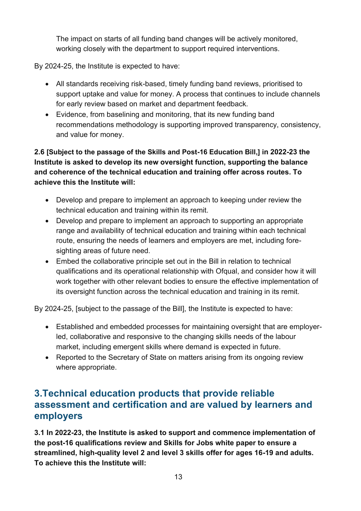The impact on starts of all funding band changes will be actively monitored, working closely with the department to support required interventions.

By 2024-25, the Institute is expected to have:

- All standards receiving risk-based, timely funding band reviews, prioritised to support uptake and value for money. A process that continues to include channels for early review based on market and department feedback.
- Evidence, from baselining and monitoring, that its new funding band recommendations methodology is supporting improved transparency, consistency, and value for money.

**2.6 [Subject to the passage of the Skills and Post-16 Education Bill,] in 2022-23 the Institute is asked to develop its new oversight function, supporting the balance and coherence of the technical education and training offer across routes. To achieve this the Institute will:**

- Develop and prepare to implement an approach to keeping under review the technical education and training within its remit.
- Develop and prepare to implement an approach to supporting an appropriate range and availability of technical education and training within each technical route, ensuring the needs of learners and employers are met, including foresighting areas of future need.
- Embed the collaborative principle set out in the Bill in relation to technical qualifications and its operational relationship with Ofqual, and consider how it will work together with other relevant bodies to ensure the effective implementation of its oversight function across the technical education and training in its remit.

By 2024-25, [subject to the passage of the Bill], the Institute is expected to have:

- Established and embedded processes for maintaining oversight that are employerled, collaborative and responsive to the changing skills needs of the labour market, including emergent skills where demand is expected in future.
- Reported to the Secretary of State on matters arising from its ongoing review where appropriate.

#### <span id="page-12-0"></span>**3.Technical education products that provide reliable assessment and certification and are valued by learners and employers**

**3.1 In 2022-23, the Institute is asked to support and commence implementation of the post-16 qualifications review and Skills for Jobs white paper to ensure a streamlined, high-quality level 2 and level 3 skills offer for ages 16-19 and adults. To achieve this the Institute will:**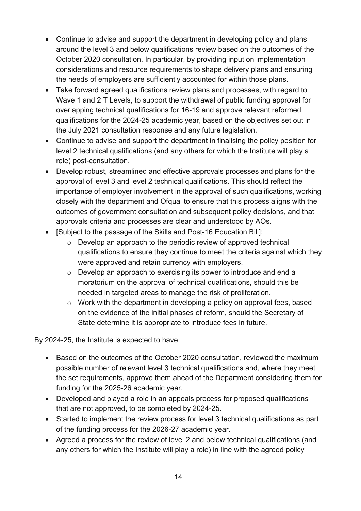- Continue to advise and support the department in developing policy and plans around the level 3 and below qualifications review based on the outcomes of the October 2020 consultation. In particular, by providing input on implementation considerations and resource requirements to shape delivery plans and ensuring the needs of employers are sufficiently accounted for within those plans.
- Take forward agreed qualifications review plans and processes, with regard to Wave 1 and 2 T Levels, to support the withdrawal of public funding approval for overlapping technical qualifications for 16-19 and approve relevant reformed qualifications for the 2024-25 academic year, based on the objectives set out in the July 2021 consultation response and any future legislation.
- Continue to advise and support the department in finalising the policy position for level 2 technical qualifications (and any others for which the Institute will play a role) post-consultation.
- Develop robust, streamlined and effective approvals processes and plans for the approval of level 3 and level 2 technical qualifications. This should reflect the importance of employer involvement in the approval of such qualifications, working closely with the department and Ofqual to ensure that this process aligns with the outcomes of government consultation and subsequent policy decisions, and that approvals criteria and processes are clear and understood by AOs.
- [Subject to the passage of the Skills and Post-16 Education Bill]:
	- o Develop an approach to the periodic review of approved technical qualifications to ensure they continue to meet the criteria against which they were approved and retain currency with employers.
	- o Develop an approach to exercising its power to introduce and end a moratorium on the approval of technical qualifications, should this be needed in targeted areas to manage the risk of proliferation.
	- o Work with the department in developing a policy on approval fees, based on the evidence of the initial phases of reform, should the Secretary of State determine it is appropriate to introduce fees in future.

By 2024-25, the Institute is expected to have:

- Based on the outcomes of the October 2020 consultation, reviewed the maximum possible number of relevant level 3 technical qualifications and, where they meet the set requirements, approve them ahead of the Department considering them for funding for the 2025-26 academic year.
- Developed and played a role in an appeals process for proposed qualifications that are not approved, to be completed by 2024-25.
- Started to implement the review process for level 3 technical qualifications as part of the funding process for the 2026-27 academic year.
- Agreed a process for the review of level 2 and below technical qualifications (and any others for which the Institute will play a role) in line with the agreed policy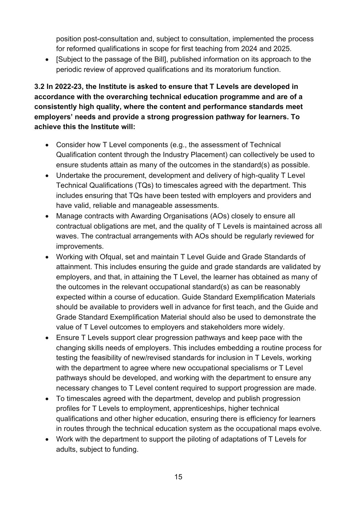position post-consultation and, subject to consultation, implemented the process for reformed qualifications in scope for first teaching from 2024 and 2025.

• [Subject to the passage of the Bill], published information on its approach to the periodic review of approved qualifications and its moratorium function.

#### **3.2 In 2022-23, the Institute is asked to ensure that T Levels are developed in accordance with the overarching technical education programme and are of a consistently high quality, where the content and performance standards meet employers' needs and provide a strong progression pathway for learners. To achieve this the Institute will:**

- Consider how T Level components (e.g., the assessment of Technical Qualification content through the Industry Placement) can collectively be used to ensure students attain as many of the outcomes in the standard(s) as possible.
- Undertake the procurement, development and delivery of high-quality T Level Technical Qualifications (TQs) to timescales agreed with the department. This includes ensuring that TQs have been tested with employers and providers and have valid, reliable and manageable assessments.
- Manage contracts with Awarding Organisations (AOs) closely to ensure all contractual obligations are met, and the quality of T Levels is maintained across all waves. The contractual arrangements with AOs should be regularly reviewed for improvements.
- Working with Ofqual, set and maintain T Level Guide and Grade Standards of attainment. This includes ensuring the guide and grade standards are validated by employers, and that, in attaining the T Level, the learner has obtained as many of the outcomes in the relevant occupational standard(s) as can be reasonably expected within a course of education. Guide Standard Exemplification Materials should be available to providers well in advance for first teach, and the Guide and Grade Standard Exemplification Material should also be used to demonstrate the value of T Level outcomes to employers and stakeholders more widely.
- Ensure T Levels support clear progression pathways and keep pace with the changing skills needs of employers. This includes embedding a routine process for testing the feasibility of new/revised standards for inclusion in T Levels, working with the department to agree where new occupational specialisms or T Level pathways should be developed, and working with the department to ensure any necessary changes to T Level content required to support progression are made.
- To timescales agreed with the department, develop and publish progression profiles for T Levels to employment, apprenticeships, higher technical qualifications and other higher education, ensuring there is efficiency for learners in routes through the technical education system as the occupational maps evolve.
- Work with the department to support the piloting of adaptations of T Levels for adults, subject to funding.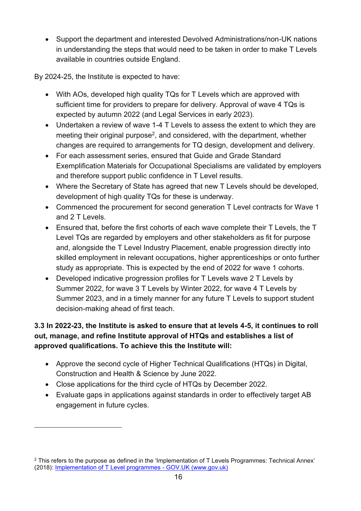• Support the department and interested Devolved Administrations/non-UK nations in understanding the steps that would need to be taken in order to make T Levels available in countries outside England.

By 2024-25, the Institute is expected to have:

- With AOs, developed high quality TQs for T Levels which are approved with sufficient time for providers to prepare for delivery. Approval of wave 4 TQs is expected by autumn 2022 (and Legal Services in early 2023).
- Undertaken a review of wave 1-4 T Levels to assess the extent to which they are meeting their original purpose<sup>2</sup>, and considered, with the department, whether changes are required to arrangements for TQ design, development and delivery.
- For each assessment series, ensured that Guide and Grade Standard Exemplification Materials for Occupational Specialisms are validated by employers and therefore support public confidence in T Level results.
- Where the Secretary of State has agreed that new T Levels should be developed, development of high quality TQs for these is underway.
- Commenced the procurement for second generation T Level contracts for Wave 1 and 2 T Levels.
- Ensured that, before the first cohorts of each wave complete their T Levels, the T Level TQs are regarded by employers and other stakeholders as fit for purpose and, alongside the T Level Industry Placement, enable progression directly into skilled employment in relevant occupations, higher apprenticeships or onto further study as appropriate. This is expected by the end of 2022 for wave 1 cohorts.
- Developed indicative progression profiles for T Levels wave 2 T Levels by Summer 2022, for wave 3 T Levels by Winter 2022, for wave 4 T Levels by Summer 2023, and in a timely manner for any future T Levels to support student decision-making ahead of first teach.

#### **3.3 In 2022-23, the Institute is asked to ensure that at levels 4-5, it continues to roll out, manage, and refine Institute approval of HTQs and establishes a list of approved qualifications. To achieve this the Institute will:**

- Approve the second cycle of Higher Technical Qualifications (HTQs) in Digital, Construction and Health & Science by June 2022.
- Close applications for the third cycle of HTQs by December 2022.
- Evaluate gaps in applications against standards in order to effectively target AB engagement in future cycles.

<sup>2</sup> This refers to the purpose as defined in the 'Implementation of T Levels Programmes: Technical Annex' (2018): [Implementation of T Level programmes -](file:///C:/Users/dellis1/AppData/Local/Microsoft/Windows/INetCache/Content.Outlook/V1S99SQI/Implementation%20of%20T%20Level%20programmes%20-%20GOV.UK%20(www.gov.uk)) GOV.UK (www.gov.uk)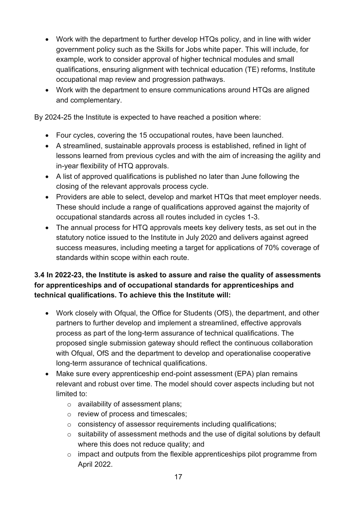- Work with the department to further develop HTQs policy, and in line with wider government policy such as the Skills for Jobs white paper. This will include, for example, work to consider approval of higher technical modules and small qualifications, ensuring alignment with technical education (TE) reforms, Institute occupational map review and progression pathways.
- Work with the department to ensure communications around HTQs are aligned and complementary.

By 2024-25 the Institute is expected to have reached a position where:

- Four cycles, covering the 15 occupational routes, have been launched.
- A streamlined, sustainable approvals process is established, refined in light of lessons learned from previous cycles and with the aim of increasing the agility and in-year flexibility of HTQ approvals.
- A list of approved qualifications is published no later than June following the closing of the relevant approvals process cycle.
- Providers are able to select, develop and market HTQs that meet employer needs. These should include a range of qualifications approved against the majority of occupational standards across all routes included in cycles 1-3.
- The annual process for HTQ approvals meets key delivery tests, as set out in the statutory notice issued to the Institute in July 2020 and delivers against agreed success measures, including meeting a target for applications of 70% coverage of standards within scope within each route.

#### **3.4 In 2022-23, the Institute is asked to assure and raise the quality of assessments for apprenticeships and of occupational standards for apprenticeships and technical qualifications. To achieve this the Institute will:**

- Work closely with Ofqual, the Office for Students (OfS), the department, and other partners to further develop and implement a streamlined, effective approvals process as part of the long-term assurance of technical qualifications. The proposed single submission gateway should reflect the continuous collaboration with Ofqual, OfS and the department to develop and operationalise cooperative long-term assurance of technical qualifications.
- Make sure every apprenticeship end-point assessment (EPA) plan remains relevant and robust over time. The model should cover aspects including but not limited to:
	- o availability of assessment plans;
	- o review of process and timescales;
	- o consistency of assessor requirements including qualifications;
	- o suitability of assessment methods and the use of digital solutions by default where this does not reduce quality; and
	- o impact and outputs from the flexible apprenticeships pilot programme from April 2022.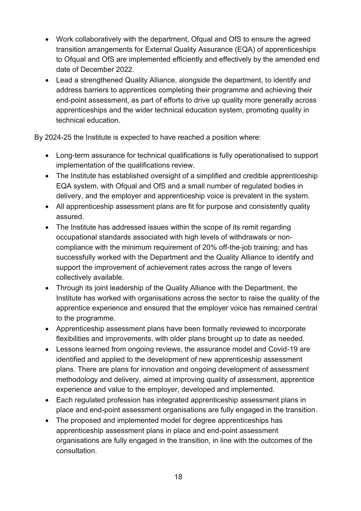- Work collaboratively with the department, Ofqual and OfS to ensure the agreed transition arrangements for External Quality Assurance (EQA) of apprenticeships to Ofqual and OfS are implemented efficiently and effectively by the amended end date of December 2022.
- Lead a strengthened Quality Alliance, alongside the department, to identify and address barriers to apprentices completing their programme and achieving their end-point assessment, as part of efforts to drive up quality more generally across apprenticeships and the wider technical education system, promoting quality in technical education.

By 2024-25 the Institute is expected to have reached a position where:

- Long-term assurance for technical qualifications is fully operationalised to support implementation of the qualifications review.
- The Institute has established oversight of a simplified and credible apprenticeship EQA system, with Ofqual and OfS and a small number of regulated bodies in delivery, and the employer and apprenticeship voice is prevalent in the system.
- All apprenticeship assessment plans are fit for purpose and consistently quality assured.
- The Institute has addressed issues within the scope of its remit regarding occupational standards associated with high levels of withdrawals or noncompliance with the minimum requirement of 20% off-the-job training; and has successfully worked with the Department and the Quality Alliance to identify and support the improvement of achievement rates across the range of levers collectively available.
- Through its joint leadership of the Quality Alliance with the Department, the Institute has worked with organisations across the sector to raise the quality of the apprentice experience and ensured that the employer voice has remained central to the programme.
- Apprenticeship assessment plans have been formally reviewed to incorporate flexibilities and improvements, with older plans brought up to date as needed.
- Lessons learned from ongoing reviews, the assurance model and Covid-19 are identified and applied to the development of new apprenticeship assessment plans. There are plans for innovation and ongoing development of assessment methodology and delivery, aimed at improving quality of assessment, apprentice experience and value to the employer, developed and implemented.
- Each regulated profession has integrated apprenticeship assessment plans in place and end-point assessment organisations are fully engaged in the transition.
- The proposed and implemented model for degree apprenticeships has apprenticeship assessment plans in place and end-point assessment organisations are fully engaged in the transition, in line with the outcomes of the consultation.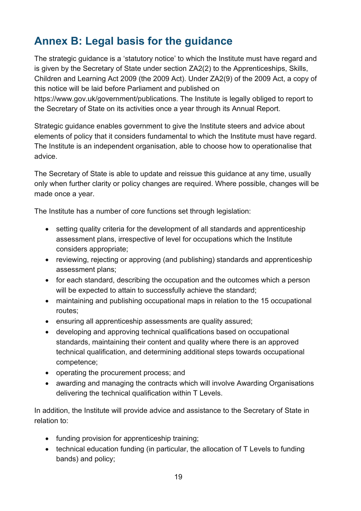## <span id="page-18-0"></span>**Annex B: Legal basis for the guidance**

The strategic guidance is a 'statutory notice' to which the Institute must have regard and is given by the Secretary of State under section ZA2(2) to the Apprenticeships, Skills, Children and Learning Act 2009 (the 2009 Act). Under ZA2(9) of the 2009 Act, a copy of this notice will be laid before Parliament and published on

https://www.gov.uk/government/publications. The Institute is legally obliged to report to the Secretary of State on its activities once a year through its Annual Report.

Strategic guidance enables government to give the Institute steers and advice about elements of policy that it considers fundamental to which the Institute must have regard. The Institute is an independent organisation, able to choose how to operationalise that advice.

The Secretary of State is able to update and reissue this guidance at any time, usually only when further clarity or policy changes are required. Where possible, changes will be made once a year.

The Institute has a number of core functions set through legislation:

- setting quality criteria for the development of all standards and apprenticeship assessment plans, irrespective of level for occupations which the Institute considers appropriate;
- reviewing, rejecting or approving (and publishing) standards and apprenticeship assessment plans;
- for each standard, describing the occupation and the outcomes which a person will be expected to attain to successfully achieve the standard;
- maintaining and publishing occupational maps in relation to the 15 occupational routes;
- ensuring all apprenticeship assessments are quality assured;
- developing and approving technical qualifications based on occupational standards, maintaining their content and quality where there is an approved technical qualification, and determining additional steps towards occupational competence;
- operating the procurement process; and
- awarding and managing the contracts which will involve Awarding Organisations delivering the technical qualification within T Levels.

In addition, the Institute will provide advice and assistance to the Secretary of State in relation to:

- funding provision for apprenticeship training;
- technical education funding (in particular, the allocation of T Levels to funding bands) and policy;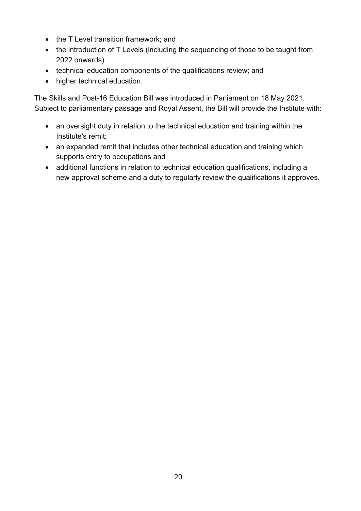- the T Level transition framework; and
- the introduction of T Levels (including the sequencing of those to be taught from 2022 onwards)
- technical education components of the qualifications review; and
- higher technical education.

The Skills and Post-16 Education Bill was introduced in Parliament on 18 May 2021. Subject to parliamentary passage and Royal Assent, the Bill will provide the Institute with:

- an oversight duty in relation to the technical education and training within the Institute's remit;
- an expanded remit that includes other technical education and training which supports entry to occupations and
- additional functions in relation to technical education qualifications, including a new approval scheme and a duty to regularly review the qualifications it approves.